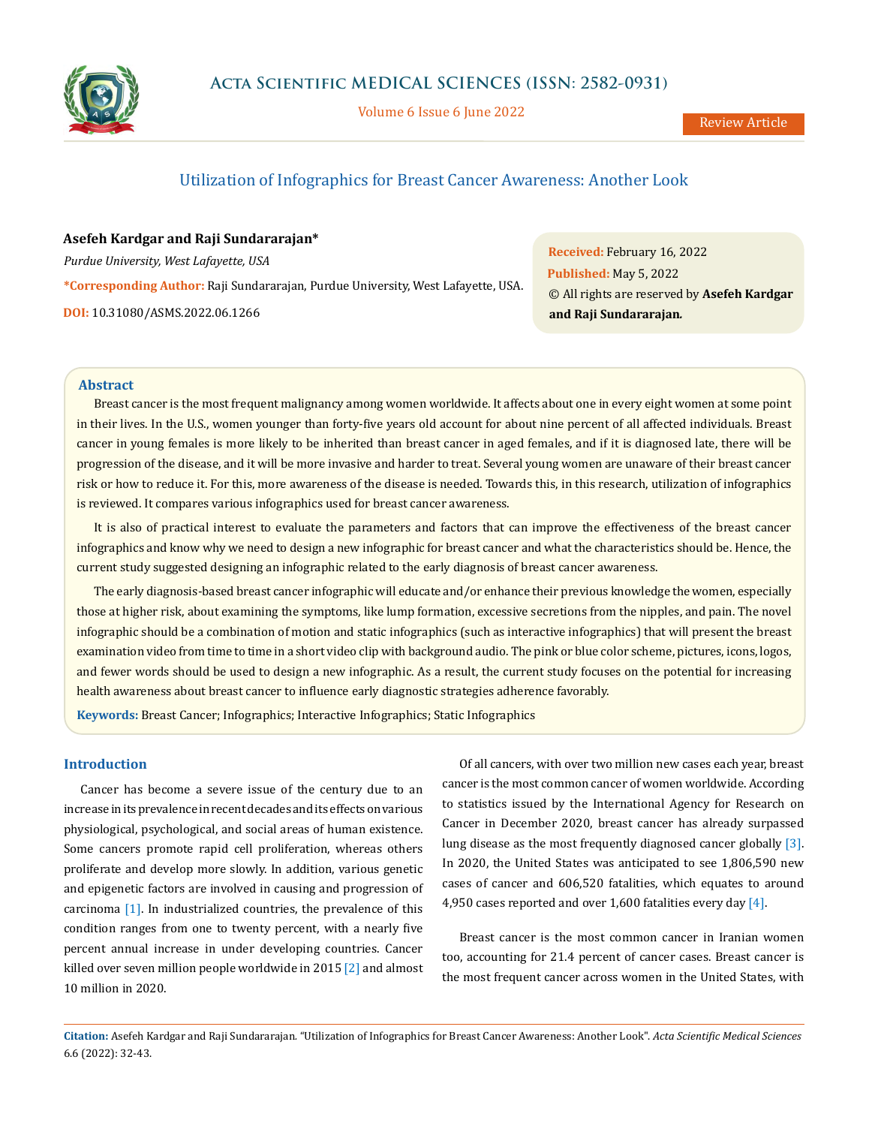

Volume 6 Issue 6 June 2022

# Utilization of Infographics for Breast Cancer Awareness: Another Look

## **Asefeh Kardgar and Raji Sundararajan\***

*Purdue University, West Lafayette, USA* **\*Corresponding Author:** Raji Sundararajan, Purdue University, West Lafayette, USA. **DOI:** [10.31080/ASMS.2022.06.1266](http://actascientific.com/ASMS/pdf/ASMS-06-1266.pdf)

**Received:** February 16, 2022 **Published:** May 5, 2022 © All rights are reserved by **Asefeh Kardgar and Raji Sundararajan***.*

### **Abstract**

Breast cancer is the most frequent malignancy among women worldwide. It affects about one in every eight women at some point in their lives. In the U.S., women younger than forty-five years old account for about nine percent of all affected individuals. Breast cancer in young females is more likely to be inherited than breast cancer in aged females, and if it is diagnosed late, there will be progression of the disease, and it will be more invasive and harder to treat. Several young women are unaware of their breast cancer risk or how to reduce it. For this, more awareness of the disease is needed. Towards this, in this research, utilization of infographics is reviewed. It compares various infographics used for breast cancer awareness.

It is also of practical interest to evaluate the parameters and factors that can improve the effectiveness of the breast cancer infographics and know why we need to design a new infographic for breast cancer and what the characteristics should be. Hence, the current study suggested designing an infographic related to the early diagnosis of breast cancer awareness.

The early diagnosis-based breast cancer infographic will educate and/or enhance their previous knowledge the women, especially those at higher risk, about examining the symptoms, like lump formation, excessive secretions from the nipples, and pain. The novel infographic should be a combination of motion and static infographics (such as interactive infographics) that will present the breast examination video from time to time in a short video clip with background audio. The pink or blue color scheme, pictures, icons, logos, and fewer words should be used to design a new infographic. As a result, the current study focuses on the potential for increasing health awareness about breast cancer to influence early diagnostic strategies adherence favorably.

**Keywords:** Breast Cancer; Infographics; Interactive Infographics; Static Infographics

## **Introduction**

Cancer has become a severe issue of the century due to an increase in its prevalence in recent decades and its effects on various physiological, psychological, and social areas of human existence. Some cancers promote rapid cell proliferation, whereas others proliferate and develop more slowly. In addition, various genetic and epigenetic factors are involved in causing and progression of carcinoma [1]. In industrialized countries, the prevalence of this condition ranges from one to twenty percent, with a nearly five percent annual increase in under developing countries. Cancer killed over seven million people worldwide in 2015 [2] and almost 10 million in 2020.

Of all cancers, with over two million new cases each year, breast cancer is the most common cancer of women worldwide. According to statistics issued by the International Agency for Research on Cancer in December 2020, breast cancer has already surpassed lung disease as the most frequently diagnosed cancer globally [3]. In 2020, the United States was anticipated to see 1,806,590 new cases of cancer and 606,520 fatalities, which equates to around 4,950 cases reported and over 1,600 fatalities every day  $[4]$ .

Breast cancer is the most common cancer in Iranian women too, accounting for 21.4 percent of cancer cases. Breast cancer is the most frequent cancer across women in the United States, with

**Citation:** Asefeh Kardgar and Raji Sundararajan*.* "Utilization of Infographics for Breast Cancer Awareness: Another Look". *Acta Scientific Medical Sciences*  6.6 (2022): 32-43.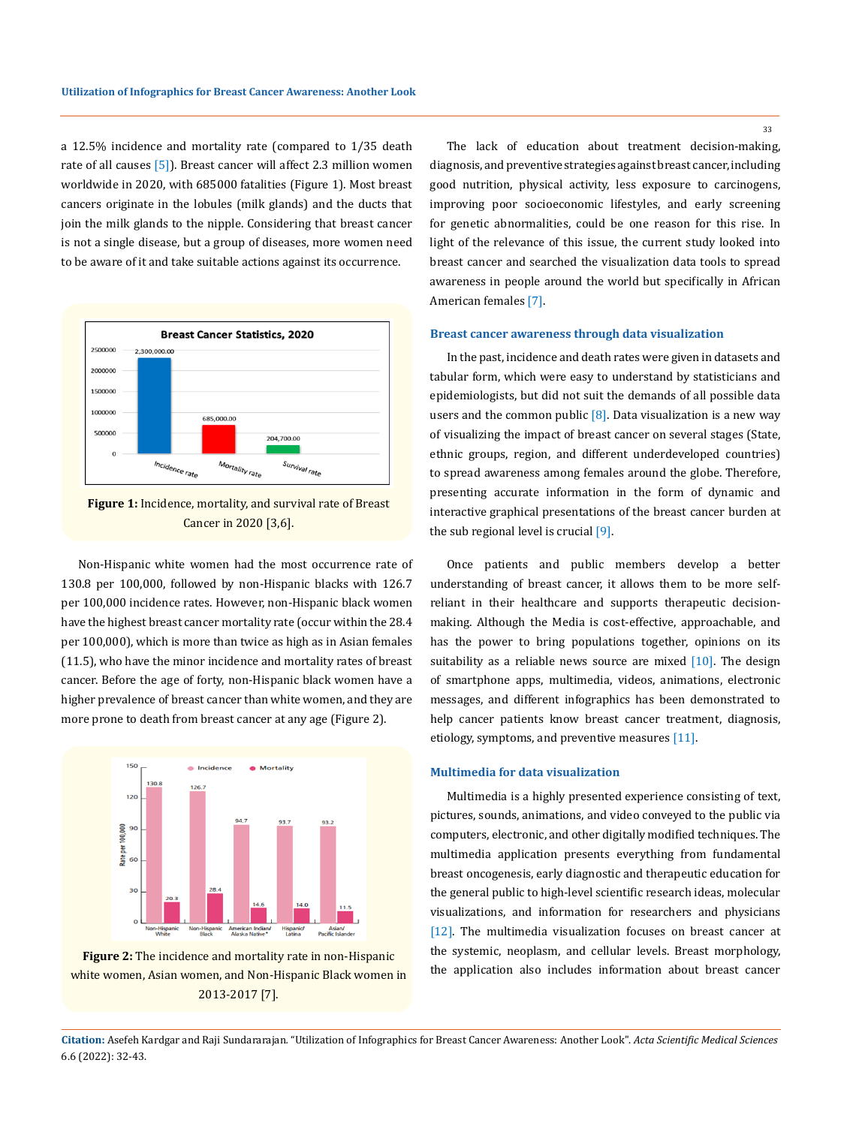a 12.5% incidence and mortality rate (compared to 1/35 death rate of all causes [5]). Breast cancer will affect 2.3 million women worldwide in 2020, with 685000 fatalities (Figure 1). Most breast cancers originate in the lobules (milk glands) and the ducts that join the milk glands to the nipple. Considering that breast cancer is not a single disease, but a group of diseases, more women need to be aware of it and take suitable actions against its occurrence.



**Figure 1:** Incidence, mortality, and survival rate of Breast Cancer in 2020 [3,6].

Non-Hispanic white women had the most occurrence rate of 130.8 per 100,000, followed by non-Hispanic blacks with 126.7 per 100,000 incidence rates. However, non-Hispanic black women have the highest breast cancer mortality rate (occur within the 28.4 per 100,000), which is more than twice as high as in Asian females (11.5), who have the minor incidence and mortality rates of breast cancer. Before the age of forty, non-Hispanic black women have a higher prevalence of breast cancer than white women, and they are more prone to death from breast cancer at any age (Figure 2).



**Figure 2:** The incidence and mortality rate in non-Hispanic white women, Asian women, and Non-Hispanic Black women in 2013-2017 [7].

The lack of education about treatment decision-making, diagnosis, and preventive strategies against breast cancer, including good nutrition, physical activity, less exposure to carcinogens, improving poor socioeconomic lifestyles, and early screening for genetic abnormalities, could be one reason for this rise. In light of the relevance of this issue, the current study looked into breast cancer and searched the visualization data tools to spread awareness in people around the world but specifically in African American females [7].

### **Breast cancer awareness through data visualization**

In the past, incidence and death rates were given in datasets and tabular form, which were easy to understand by statisticians and epidemiologists, but did not suit the demands of all possible data users and the common public  $[8]$ . Data visualization is a new way of visualizing the impact of breast cancer on several stages (State, ethnic groups, region, and different underdeveloped countries) to spread awareness among females around the globe. Therefore, presenting accurate information in the form of dynamic and interactive graphical presentations of the breast cancer burden at the sub regional level is crucial  $[9]$ .

Once patients and public members develop a better understanding of breast cancer, it allows them to be more selfreliant in their healthcare and supports therapeutic decisionmaking. Although the Media is cost-effective, approachable, and has the power to bring populations together, opinions on its suitability as a reliable news source are mixed  $[10]$ . The design of smartphone apps, multimedia, videos, animations, electronic messages, and different infographics has been demonstrated to help cancer patients know breast cancer treatment, diagnosis, etiology, symptoms, and preventive measures [11].

### **Multimedia for data visualization**

Multimedia is a highly presented experience consisting of text, pictures, sounds, animations, and video conveyed to the public via computers, electronic, and other digitally modified techniques. The multimedia application presents everything from fundamental breast oncogenesis, early diagnostic and therapeutic education for the general public to high-level scientific research ideas, molecular visualizations, and information for researchers and physicians [12]. The multimedia visualization focuses on breast cancer at the systemic, neoplasm, and cellular levels. Breast morphology, the application also includes information about breast cancer

**Citation:** Asefeh Kardgar and Raji Sundararajan*.* "Utilization of Infographics for Breast Cancer Awareness: Another Look". *Acta Scientific Medical Sciences*  6.6 (2022): 32-43.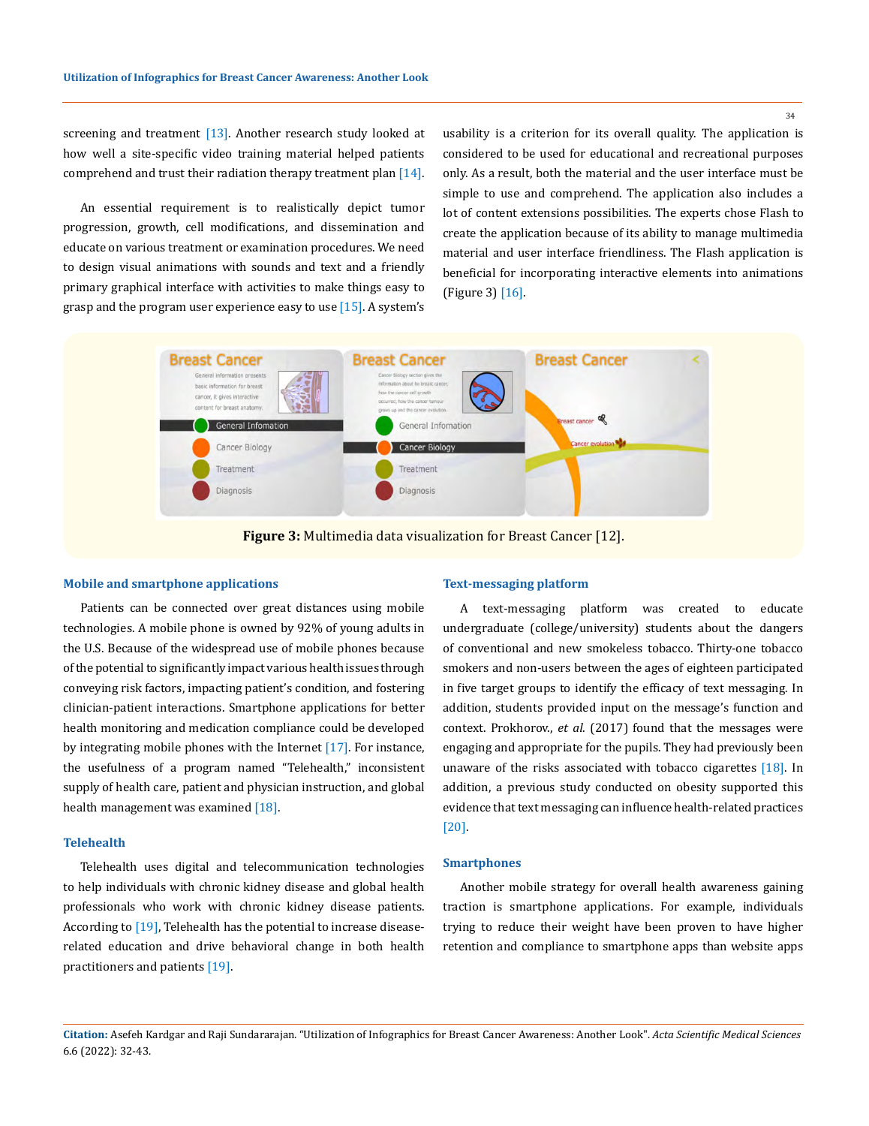34

screening and treatment [13]. Another research study looked at how well a site-specific video training material helped patients comprehend and trust their radiation therapy treatment plan  $[14]$ .

An essential requirement is to realistically depict tumor progression, growth, cell modifications, and dissemination and educate on various treatment or examination procedures. We need to design visual animations with sounds and text and a friendly primary graphical interface with activities to make things easy to grasp and the program user experience easy to use  $[15]$ . A system's

usability is a criterion for its overall quality. The application is considered to be used for educational and recreational purposes only. As a result, both the material and the user interface must be simple to use and comprehend. The application also includes a lot of content extensions possibilities. The experts chose Flash to create the application because of its ability to manage multimedia material and user interface friendliness. The Flash application is beneficial for incorporating interactive elements into animations (Figure 3) [16].



**Figure 3:** Multimedia data visualization for Breast Cancer [12].

### **Mobile and smartphone applications**

Patients can be connected over great distances using mobile technologies. A mobile phone is owned by 92% of young adults in the U.S. Because of the widespread use of mobile phones because ofthe potential to significantly impact various health issues through conveying risk factors, impacting patient's condition, and fostering clinician-patient interactions. Smartphone applications for better health monitoring and medication compliance could be developed by integrating mobile phones with the Internet  $[17]$ . For instance, the usefulness of a program named "Telehealth," inconsistent supply of health care, patient and physician instruction, and global health management was examined [18].

## **Telehealth**

Telehealth uses digital and telecommunication technologies to help individuals with chronic kidney disease and global health professionals who work with chronic kidney disease patients. According to [19], Telehealth has the potential to increase diseaserelated education and drive behavioral change in both health practitioners and patients [19].

### **Text-messaging platform**

A text-messaging platform was created to educate undergraduate (college/university) students about the dangers of conventional and new smokeless tobacco. Thirty-one tobacco smokers and non-users between the ages of eighteen participated in five target groups to identify the efficacy of text messaging. In addition, students provided input on the message's function and context. Prokhorov., *et al*. (2017) found that the messages were engaging and appropriate for the pupils. They had previously been unaware of the risks associated with tobacco cigarettes [18]. In addition, a previous study conducted on obesity supported this evidence that text messaging can influence health-related practices [20].

### **Smartphones**

Another mobile strategy for overall health awareness gaining traction is smartphone applications. For example, individuals trying to reduce their weight have been proven to have higher retention and compliance to smartphone apps than website apps

**Citation:** Asefeh Kardgar and Raji Sundararajan*.* "Utilization of Infographics for Breast Cancer Awareness: Another Look". *Acta Scientific Medical Sciences*  6.6 (2022): 32-43.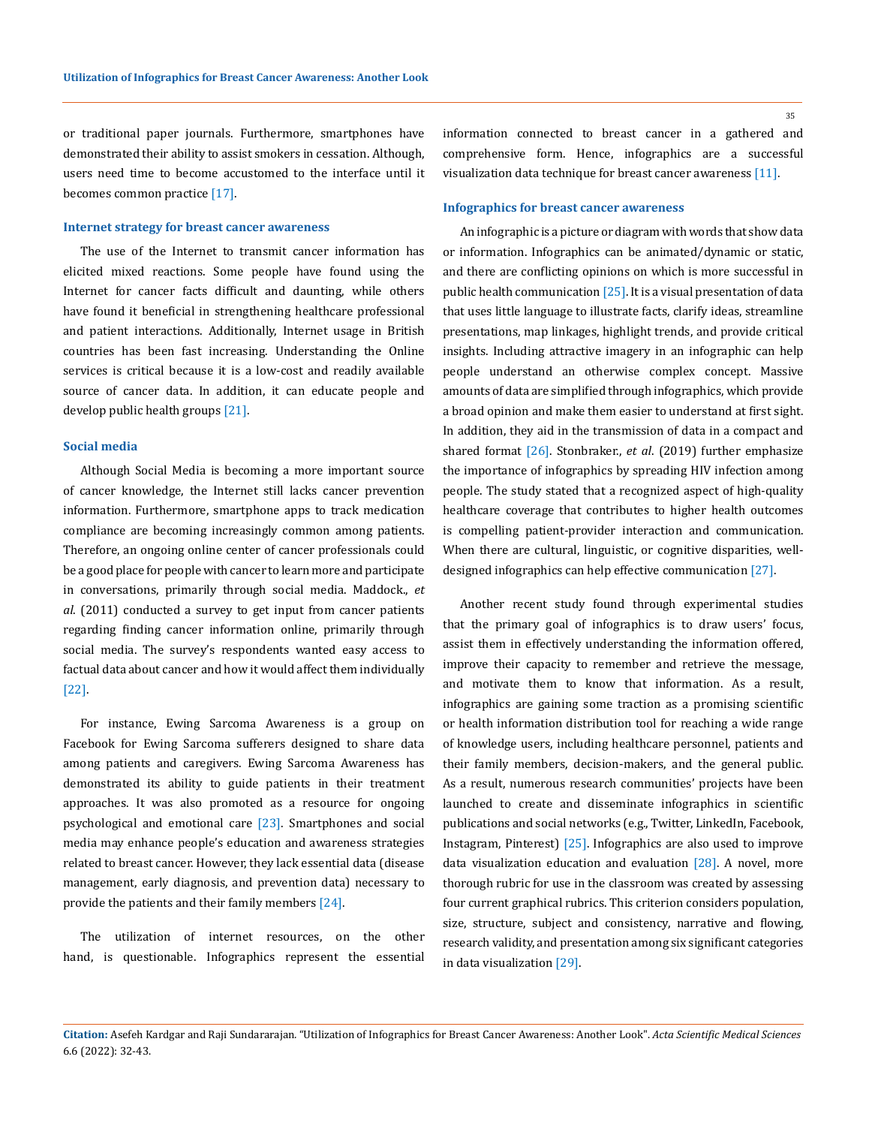or traditional paper journals. Furthermore, smartphones have demonstrated their ability to assist smokers in cessation. Although, users need time to become accustomed to the interface until it becomes common practice [17].

### **Internet strategy for breast cancer awareness**

The use of the Internet to transmit cancer information has elicited mixed reactions. Some people have found using the Internet for cancer facts difficult and daunting, while others have found it beneficial in strengthening healthcare professional and patient interactions. Additionally, Internet usage in British countries has been fast increasing. Understanding the Online services is critical because it is a low-cost and readily available source of cancer data. In addition, it can educate people and develop public health groups [21].

### **Social media**

Although Social Media is becoming a more important source of cancer knowledge, the Internet still lacks cancer prevention information. Furthermore, smartphone apps to track medication compliance are becoming increasingly common among patients. Therefore, an ongoing online center of cancer professionals could be a good place for people with cancer to learn more and participate in conversations, primarily through social media. Maddock., *et al*. (2011) conducted a survey to get input from cancer patients regarding finding cancer information online, primarily through social media. The survey's respondents wanted easy access to factual data about cancer and how it would affect them individually [22].

For instance, Ewing Sarcoma Awareness is a group on Facebook for Ewing Sarcoma sufferers designed to share data among patients and caregivers. Ewing Sarcoma Awareness has demonstrated its ability to guide patients in their treatment approaches. It was also promoted as a resource for ongoing psychological and emotional care [23]. Smartphones and social media may enhance people's education and awareness strategies related to breast cancer. However, they lack essential data (disease management, early diagnosis, and prevention data) necessary to provide the patients and their family members  $[24]$ .

The utilization of internet resources, on the other hand, is questionable. Infographics represent the essential information connected to breast cancer in a gathered and comprehensive form. Hence, infographics are a successful visualization data technique for breast cancer awareness [11].

### **Infographics for breast cancer awareness**

An infographic is a picture or diagram with words that show data or information. Infographics can be animated/dynamic or static, and there are conflicting opinions on which is more successful in public health communication [25]. It is a visual presentation of data that uses little language to illustrate facts, clarify ideas, streamline presentations, map linkages, highlight trends, and provide critical insights. Including attractive imagery in an infographic can help people understand an otherwise complex concept. Massive amounts of data are simplified through infographics, which provide a broad opinion and make them easier to understand at first sight. In addition, they aid in the transmission of data in a compact and shared format [26]. Stonbraker., *et al*. (2019) further emphasize the importance of infographics by spreading HIV infection among people. The study stated that a recognized aspect of high-quality healthcare coverage that contributes to higher health outcomes is compelling patient-provider interaction and communication. When there are cultural, linguistic, or cognitive disparities, welldesigned infographics can help effective communication [27].

Another recent study found through experimental studies that the primary goal of infographics is to draw users' focus, assist them in effectively understanding the information offered, improve their capacity to remember and retrieve the message, and motivate them to know that information. As a result, infographics are gaining some traction as a promising scientific or health information distribution tool for reaching a wide range of knowledge users, including healthcare personnel, patients and their family members, decision-makers, and the general public. As a result, numerous research communities' projects have been launched to create and disseminate infographics in scientific publications and social networks (e.g., Twitter, LinkedIn, Facebook, Instagram, Pinterest) [25]. Infographics are also used to improve data visualization education and evaluation  $[28]$ . A novel, more thorough rubric for use in the classroom was created by assessing four current graphical rubrics. This criterion considers population, size, structure, subject and consistency, narrative and flowing, research validity, and presentation among six significant categories in data visualization [29].

**Citation:** Asefeh Kardgar and Raji Sundararajan*.* "Utilization of Infographics for Breast Cancer Awareness: Another Look". *Acta Scientific Medical Sciences*  6.6 (2022): 32-43.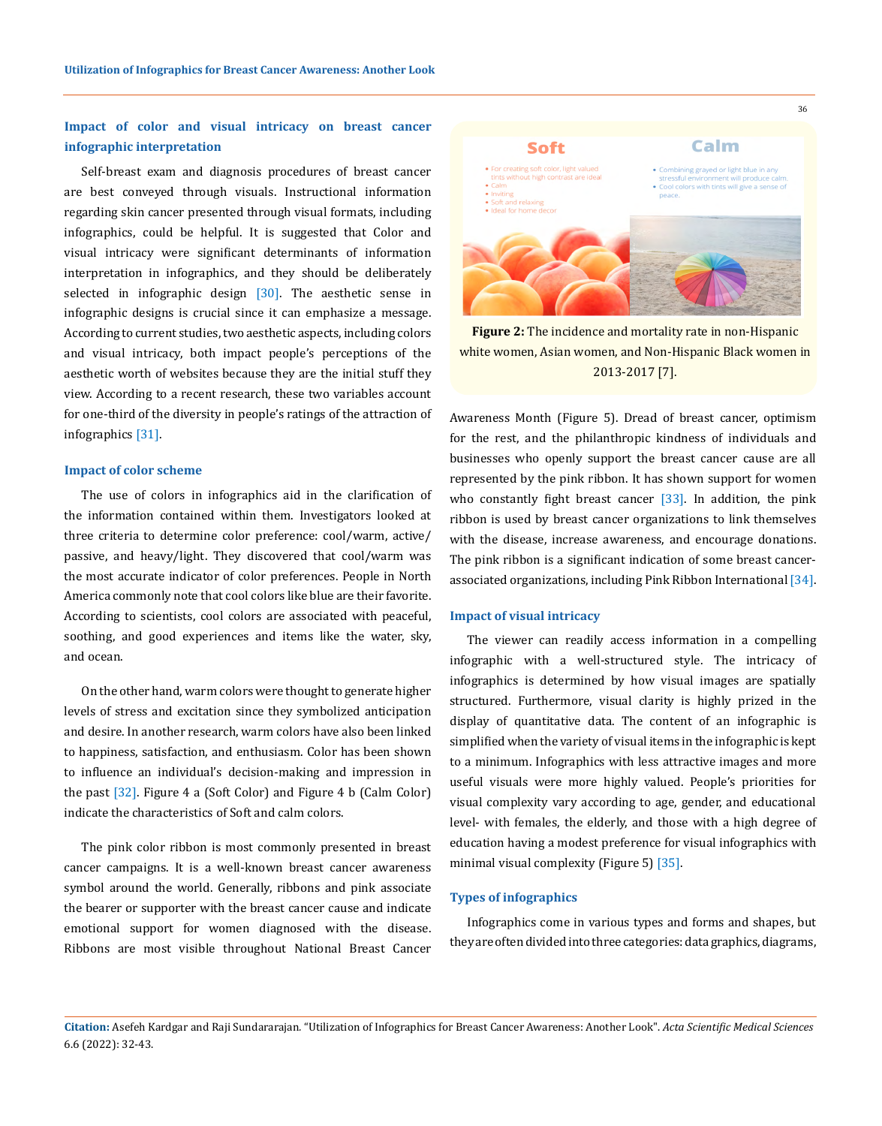## **Impact of color and visual intricacy on breast cancer infographic interpretation**

Self-breast exam and diagnosis procedures of breast cancer are best conveyed through visuals. Instructional information regarding skin cancer presented through visual formats, including infographics, could be helpful. It is suggested that Color and visual intricacy were significant determinants of information interpretation in infographics, and they should be deliberately selected in infographic design [30]. The aesthetic sense in infographic designs is crucial since it can emphasize a message. According to current studies, two aesthetic aspects, including colors and visual intricacy, both impact people's perceptions of the aesthetic worth of websites because they are the initial stuff they view. According to a recent research, these two variables account for one-third of the diversity in people's ratings of the attraction of infographics [31].

#### **Impact of color scheme**

The use of colors in infographics aid in the clarification of the information contained within them. Investigators looked at three criteria to determine color preference: cool/warm, active/ passive, and heavy/light. They discovered that cool/warm was the most accurate indicator of color preferences. People in North America commonly note that cool colors like blue are their favorite. According to scientists, cool colors are associated with peaceful, soothing, and good experiences and items like the water, sky, and ocean.

On the other hand, warm colors were thought to generate higher levels of stress and excitation since they symbolized anticipation and desire. In another research, warm colors have also been linked to happiness, satisfaction, and enthusiasm. Color has been shown to influence an individual's decision-making and impression in the past [32]. Figure 4 a (Soft Color) and Figure 4 b (Calm Color) indicate the characteristics of Soft and calm colors.

The pink color ribbon is most commonly presented in breast cancer campaigns. It is a well-known breast cancer awareness symbol around the world. Generally, ribbons and pink associate the bearer or supporter with the breast cancer cause and indicate emotional support for women diagnosed with the disease. Ribbons are most visible throughout National Breast Cancer



**Figure 2:** The incidence and mortality rate in non-Hispanic white women, Asian women, and Non-Hispanic Black women in 2013-2017 [7].

Awareness Month (Figure 5). Dread of breast cancer, optimism for the rest, and the philanthropic kindness of individuals and businesses who openly support the breast cancer cause are all represented by the pink ribbon. It has shown support for women who constantly fight breast cancer  $[33]$ . In addition, the pink ribbon is used by breast cancer organizations to link themselves with the disease, increase awareness, and encourage donations. The pink ribbon is a significant indication of some breast cancerassociated organizations, including Pink Ribbon International [34].

### **Impact of visual intricacy**

The viewer can readily access information in a compelling infographic with a well-structured style. The intricacy of infographics is determined by how visual images are spatially structured. Furthermore, visual clarity is highly prized in the display of quantitative data. The content of an infographic is simplified when the variety of visual items in the infographic is kept to a minimum. Infographics with less attractive images and more useful visuals were more highly valued. People's priorities for visual complexity vary according to age, gender, and educational level- with females, the elderly, and those with a high degree of education having a modest preference for visual infographics with minimal visual complexity (Figure 5) [35].

### **Types of infographics**

Infographics come in various types and forms and shapes, but they are often divided into three categories: data graphics, diagrams,

## **Citation:** Asefeh Kardgar and Raji Sundararajan*.* "Utilization of Infographics for Breast Cancer Awareness: Another Look". *Acta Scientific Medical Sciences*  6.6 (2022): 32-43.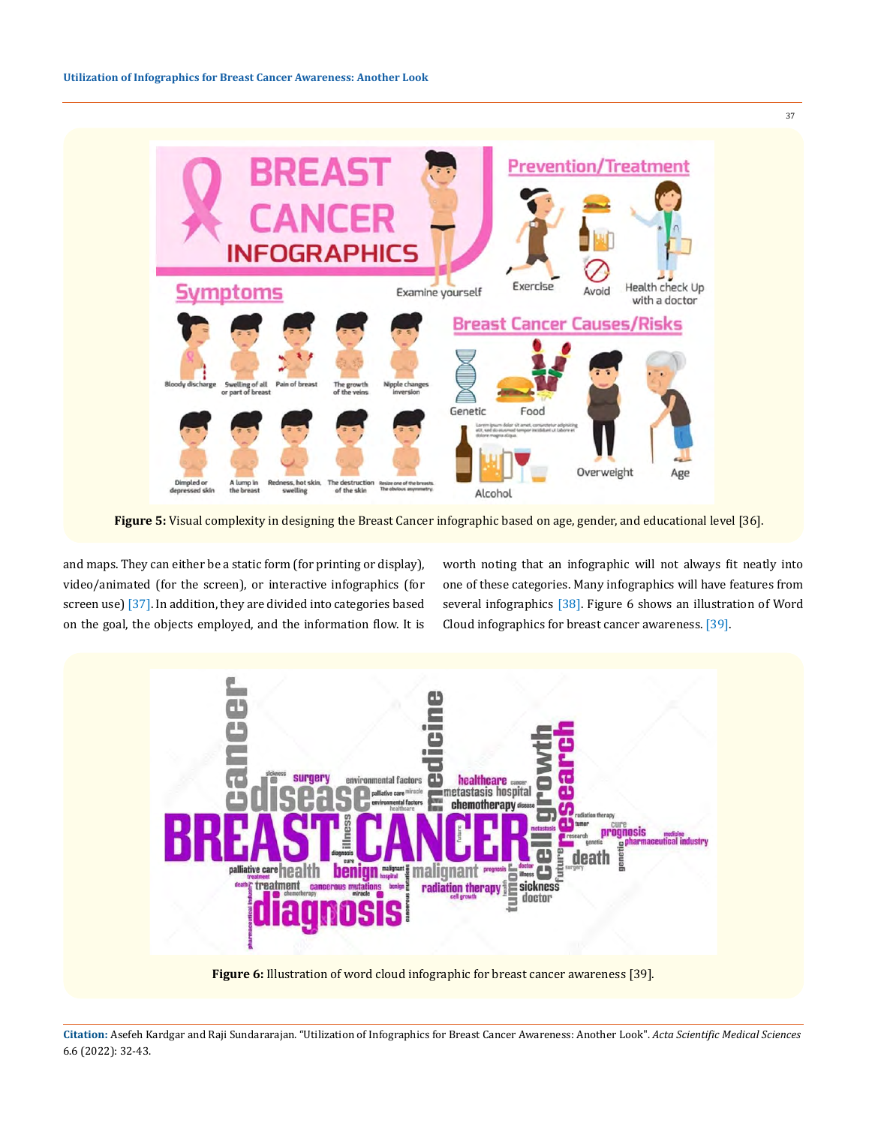

**Figure 5:** Visual complexity in designing the Breast Cancer infographic based on age, gender, and educational level [36].

and maps. They can either be a static form (for printing or display), video/animated (for the screen), or interactive infographics (for screen use) [37]. In addition, they are divided into categories based on the goal, the objects employed, and the information flow. It is worth noting that an infographic will not always fit neatly into one of these categories. Many infographics will have features from several infographics [38]. Figure 6 shows an illustration of Word Cloud infographics for breast cancer awareness. [39].



**Citation:** Asefeh Kardgar and Raji Sundararajan*.* "Utilization of Infographics for Breast Cancer Awareness: Another Look". *Acta Scientific Medical Sciences*  6.6 (2022): 32-43.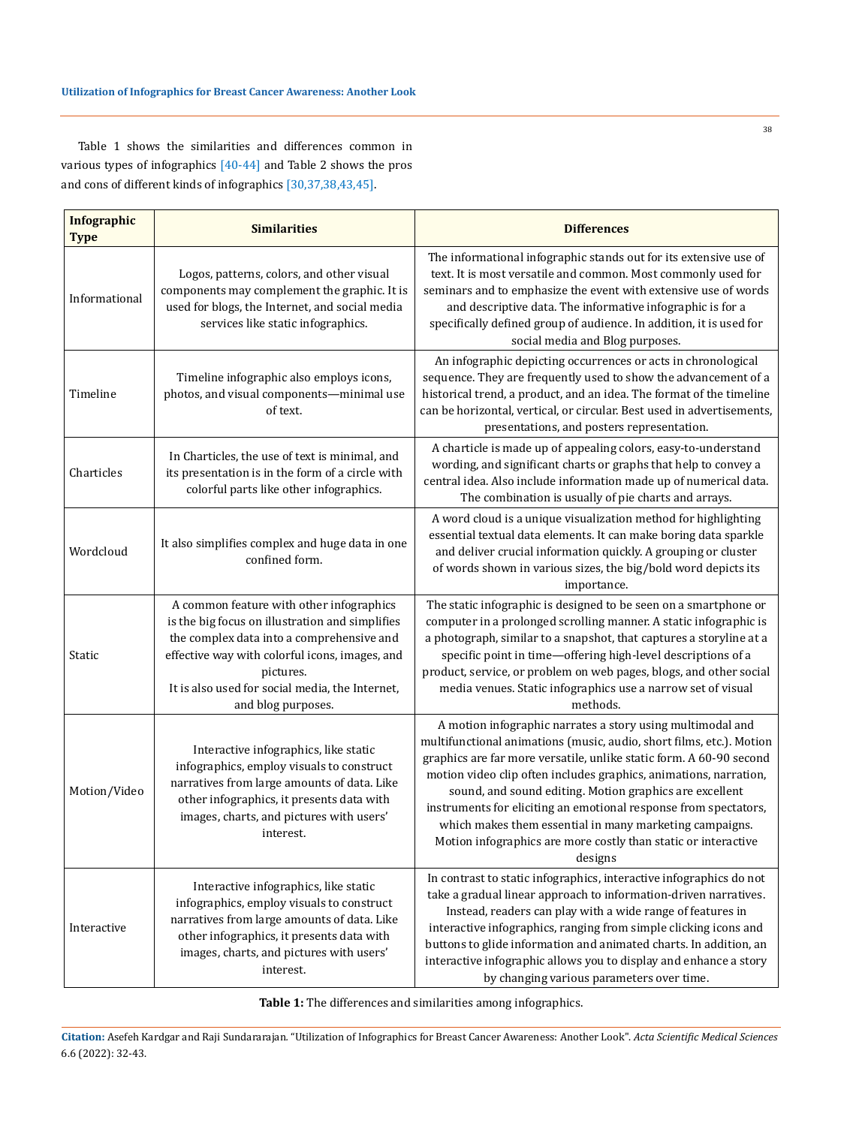Table 1 shows the similarities and differences common in various types of infographics [40-44] and Table 2 shows the pros and cons of different kinds of infographics [30,37,38,43,45].

| <b>Infographic</b><br><b>Type</b> | <b>Similarities</b>                                                                                                                                                                                                                                                              | <b>Differences</b>                                                                                                                                                                                                                                                                                                                                                                                                                                                                                                                                    |
|-----------------------------------|----------------------------------------------------------------------------------------------------------------------------------------------------------------------------------------------------------------------------------------------------------------------------------|-------------------------------------------------------------------------------------------------------------------------------------------------------------------------------------------------------------------------------------------------------------------------------------------------------------------------------------------------------------------------------------------------------------------------------------------------------------------------------------------------------------------------------------------------------|
| Informational                     | Logos, patterns, colors, and other visual<br>components may complement the graphic. It is<br>used for blogs, the Internet, and social media<br>services like static infographics.                                                                                                | The informational infographic stands out for its extensive use of<br>text. It is most versatile and common. Most commonly used for<br>seminars and to emphasize the event with extensive use of words<br>and descriptive data. The informative infographic is for a<br>specifically defined group of audience. In addition, it is used for<br>social media and Blog purposes.                                                                                                                                                                         |
| Timeline                          | Timeline infographic also employs icons,<br>photos, and visual components-minimal use<br>of text.                                                                                                                                                                                | An infographic depicting occurrences or acts in chronological<br>sequence. They are frequently used to show the advancement of a<br>historical trend, a product, and an idea. The format of the timeline<br>can be horizontal, vertical, or circular. Best used in advertisements,<br>presentations, and posters representation.                                                                                                                                                                                                                      |
| Charticles                        | In Charticles, the use of text is minimal, and<br>its presentation is in the form of a circle with<br>colorful parts like other infographics.                                                                                                                                    | A charticle is made up of appealing colors, easy-to-understand<br>wording, and significant charts or graphs that help to convey a<br>central idea. Also include information made up of numerical data.<br>The combination is usually of pie charts and arrays.                                                                                                                                                                                                                                                                                        |
| Wordcloud                         | It also simplifies complex and huge data in one<br>confined form.                                                                                                                                                                                                                | A word cloud is a unique visualization method for highlighting<br>essential textual data elements. It can make boring data sparkle<br>and deliver crucial information quickly. A grouping or cluster<br>of words shown in various sizes, the big/bold word depicts its<br>importance.                                                                                                                                                                                                                                                                 |
| Static                            | A common feature with other infographics<br>is the big focus on illustration and simplifies<br>the complex data into a comprehensive and<br>effective way with colorful icons, images, and<br>pictures.<br>It is also used for social media, the Internet,<br>and blog purposes. | The static infographic is designed to be seen on a smartphone or<br>computer in a prolonged scrolling manner. A static infographic is<br>a photograph, similar to a snapshot, that captures a storyline at a<br>specific point in time-offering high-level descriptions of a<br>product, service, or problem on web pages, blogs, and other social<br>media venues. Static infographics use a narrow set of visual<br>methods.                                                                                                                        |
| Motion/Video                      | Interactive infographics, like static<br>infographics, employ visuals to construct<br>narratives from large amounts of data. Like<br>other infographics, it presents data with<br>images, charts, and pictures with users'<br>interest.                                          | A motion infographic narrates a story using multimodal and<br>multifunctional animations (music, audio, short films, etc.). Motion<br>graphics are far more versatile, unlike static form. A 60-90 second<br>motion video clip often includes graphics, animations, narration,<br>sound, and sound editing. Motion graphics are excellent<br>instruments for eliciting an emotional response from spectators,<br>which makes them essential in many marketing campaigns.<br>Motion infographics are more costly than static or interactive<br>designs |
| Interactive                       | Interactive infographics, like static<br>infographics, employ visuals to construct<br>narratives from large amounts of data. Like<br>other infographics, it presents data with<br>images, charts, and pictures with users'<br>interest.                                          | In contrast to static infographics, interactive infographics do not<br>take a gradual linear approach to information-driven narratives.<br>Instead, readers can play with a wide range of features in<br>interactive infographics, ranging from simple clicking icons and<br>buttons to glide information and animated charts. In addition, an<br>interactive infographic allows you to display and enhance a story<br>by changing various parameters over time.                                                                                      |

**Table 1:** The differences and similarities among infographics.

**Citation:** Asefeh Kardgar and Raji Sundararajan*.* "Utilization of Infographics for Breast Cancer Awareness: Another Look". *Acta Scientific Medical Sciences*  6.6 (2022): 32-43.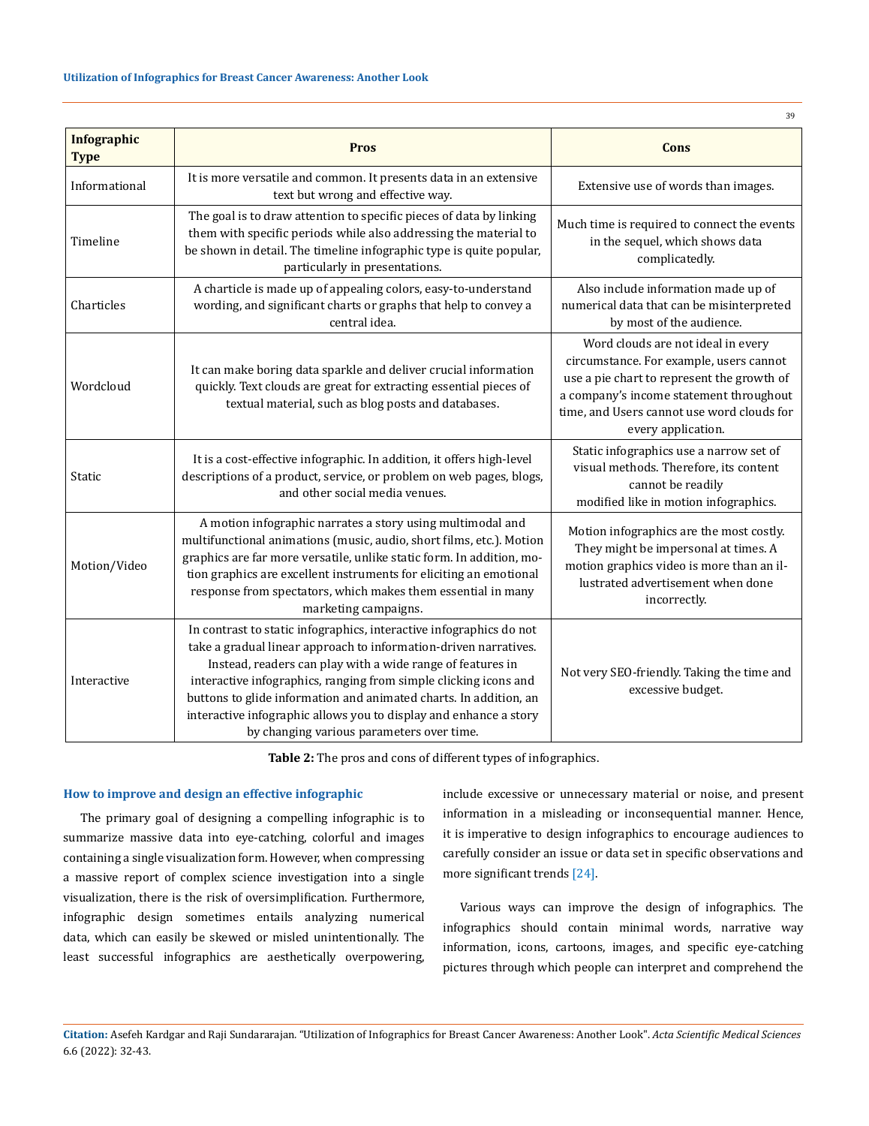| 39                                |                                                                                                                                                                                                                                                                                                                                                                                                                                                                  |                                                                                                                                                                                                                                            |  |
|-----------------------------------|------------------------------------------------------------------------------------------------------------------------------------------------------------------------------------------------------------------------------------------------------------------------------------------------------------------------------------------------------------------------------------------------------------------------------------------------------------------|--------------------------------------------------------------------------------------------------------------------------------------------------------------------------------------------------------------------------------------------|--|
| <b>Infographic</b><br><b>Type</b> | <b>Pros</b>                                                                                                                                                                                                                                                                                                                                                                                                                                                      | Cons                                                                                                                                                                                                                                       |  |
| Informational                     | It is more versatile and common. It presents data in an extensive<br>text but wrong and effective way.                                                                                                                                                                                                                                                                                                                                                           | Extensive use of words than images.                                                                                                                                                                                                        |  |
| Timeline                          | The goal is to draw attention to specific pieces of data by linking<br>them with specific periods while also addressing the material to<br>be shown in detail. The timeline infographic type is quite popular,<br>particularly in presentations.                                                                                                                                                                                                                 | Much time is required to connect the events<br>in the sequel, which shows data<br>complicatedly.                                                                                                                                           |  |
| Charticles                        | A charticle is made up of appealing colors, easy-to-understand<br>wording, and significant charts or graphs that help to convey a<br>central idea.                                                                                                                                                                                                                                                                                                               | Also include information made up of<br>numerical data that can be misinterpreted<br>by most of the audience.                                                                                                                               |  |
| Wordcloud                         | It can make boring data sparkle and deliver crucial information<br>quickly. Text clouds are great for extracting essential pieces of<br>textual material, such as blog posts and databases.                                                                                                                                                                                                                                                                      | Word clouds are not ideal in every<br>circumstance. For example, users cannot<br>use a pie chart to represent the growth of<br>a company's income statement throughout<br>time, and Users cannot use word clouds for<br>every application. |  |
| Static                            | It is a cost-effective infographic. In addition, it offers high-level<br>descriptions of a product, service, or problem on web pages, blogs,<br>and other social media venues.                                                                                                                                                                                                                                                                                   | Static infographics use a narrow set of<br>visual methods. Therefore, its content<br>cannot be readily<br>modified like in motion infographics.                                                                                            |  |
| Motion/Video                      | A motion infographic narrates a story using multimodal and<br>multifunctional animations (music, audio, short films, etc.). Motion<br>graphics are far more versatile, unlike static form. In addition, mo-<br>tion graphics are excellent instruments for eliciting an emotional<br>response from spectators, which makes them essential in many<br>marketing campaigns.                                                                                        | Motion infographics are the most costly.<br>They might be impersonal at times. A<br>motion graphics video is more than an il-<br>lustrated advertisement when done<br>incorrectly.                                                         |  |
| Interactive                       | In contrast to static infographics, interactive infographics do not<br>take a gradual linear approach to information-driven narratives.<br>Instead, readers can play with a wide range of features in<br>interactive infographics, ranging from simple clicking icons and<br>buttons to glide information and animated charts. In addition, an<br>interactive infographic allows you to display and enhance a story<br>by changing various parameters over time. | Not very SEO-friendly. Taking the time and<br>excessive budget.                                                                                                                                                                            |  |

**Table 2:** The pros and cons of different types of infographics.

### **How to improve and design an effective infographic**

The primary goal of designing a compelling infographic is to summarize massive data into eye-catching, colorful and images containing a single visualization form. However, when compressing a massive report of complex science investigation into a single visualization, there is the risk of oversimplification. Furthermore, infographic design sometimes entails analyzing numerical data, which can easily be skewed or misled unintentionally. The least successful infographics are aesthetically overpowering, include excessive or unnecessary material or noise, and present information in a misleading or inconsequential manner. Hence, it is imperative to design infographics to encourage audiences to carefully consider an issue or data set in specific observations and more significant trends [24].

Various ways can improve the design of infographics. The infographics should contain minimal words, narrative way information, icons, cartoons, images, and specific eye-catching pictures through which people can interpret and comprehend the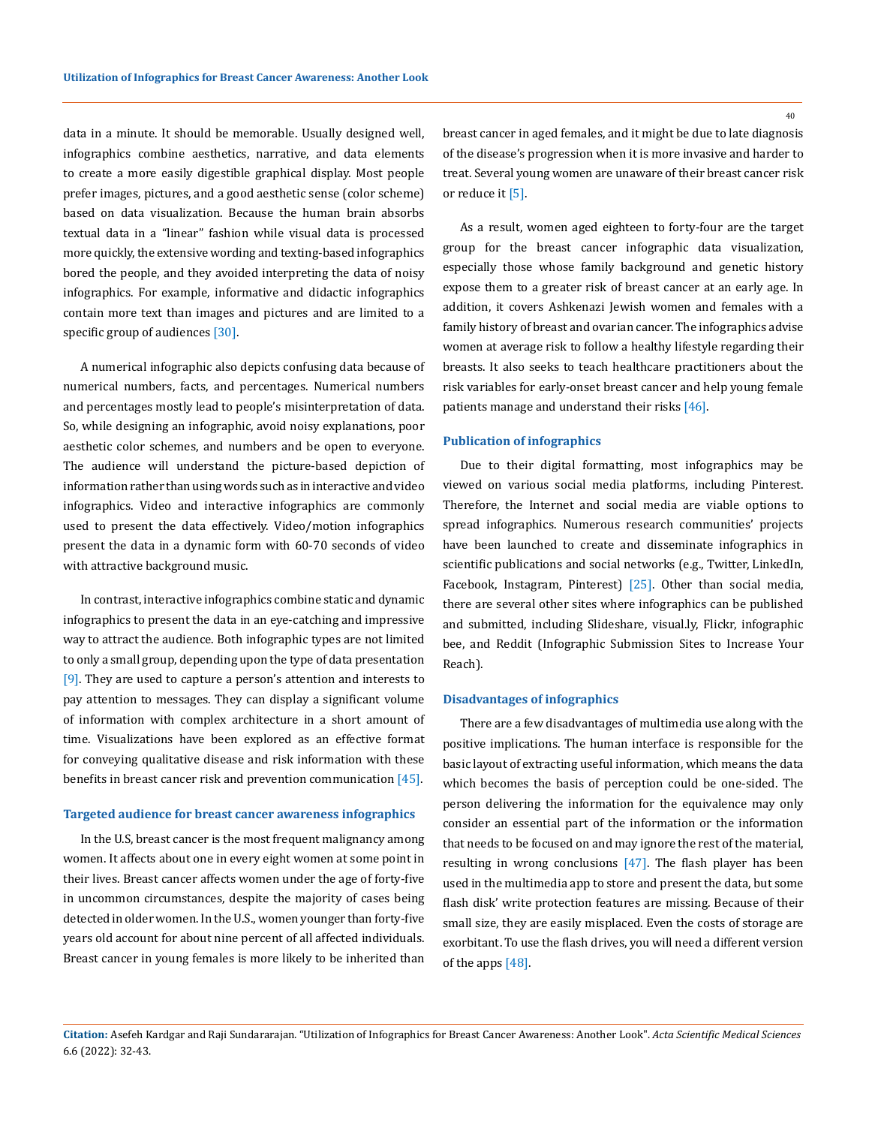data in a minute. It should be memorable. Usually designed well, infographics combine aesthetics, narrative, and data elements to create a more easily digestible graphical display. Most people prefer images, pictures, and a good aesthetic sense (color scheme) based on data visualization. Because the human brain absorbs textual data in a "linear" fashion while visual data is processed more quickly, the extensive wording and texting-based infographics bored the people, and they avoided interpreting the data of noisy infographics. For example, informative and didactic infographics contain more text than images and pictures and are limited to a specific group of audiences [30].

A numerical infographic also depicts confusing data because of numerical numbers, facts, and percentages. Numerical numbers and percentages mostly lead to people's misinterpretation of data. So, while designing an infographic, avoid noisy explanations, poor aesthetic color schemes, and numbers and be open to everyone. The audience will understand the picture-based depiction of information rather than using words such as in interactive and video infographics. Video and interactive infographics are commonly used to present the data effectively. Video/motion infographics present the data in a dynamic form with 60-70 seconds of video with attractive background music.

In contrast, interactive infographics combine static and dynamic infographics to present the data in an eye-catching and impressive way to attract the audience. Both infographic types are not limited to only a small group, depending upon the type of data presentation  $[9]$ . They are used to capture a person's attention and interests to pay attention to messages. They can display a significant volume of information with complex architecture in a short amount of time. Visualizations have been explored as an effective format for conveying qualitative disease and risk information with these benefits in breast cancer risk and prevention communication [45].

#### **Targeted audience for breast cancer awareness infographics**

In the U.S, breast cancer is the most frequent malignancy among women. It affects about one in every eight women at some point in their lives. Breast cancer affects women under the age of forty-five in uncommon circumstances, despite the majority of cases being detected in older women. In the U.S., women younger than forty-five years old account for about nine percent of all affected individuals. Breast cancer in young females is more likely to be inherited than breast cancer in aged females, and it might be due to late diagnosis of the disease's progression when it is more invasive and harder to treat. Several young women are unaware of their breast cancer risk or reduce it [5].

As a result, women aged eighteen to forty-four are the target group for the breast cancer infographic data visualization, especially those whose family background and genetic history expose them to a greater risk of breast cancer at an early age. In addition, it covers Ashkenazi Jewish women and females with a family history of breast and ovarian cancer. The infographics advise women at average risk to follow a healthy lifestyle regarding their breasts. It also seeks to teach healthcare practitioners about the risk variables for early-onset breast cancer and help young female patients manage and understand their risks [46].

### **Publication of infographics**

Due to their digital formatting, most infographics may be viewed on various social media platforms, including Pinterest. Therefore, the Internet and social media are viable options to spread infographics. Numerous research communities' projects have been launched to create and disseminate infographics in scientific publications and social networks (e.g., Twitter, LinkedIn, Facebook, Instagram, Pinterest) [25]. Other than social media, there are several other sites where infographics can be published and submitted, including Slideshare, visual.ly, Flickr, infographic bee, and Reddit (Infographic Submission Sites to Increase Your Reach).

### **Disadvantages of infographics**

There are a few disadvantages of multimedia use along with the positive implications. The human interface is responsible for the basic layout of extracting useful information, which means the data which becomes the basis of perception could be one-sided. The person delivering the information for the equivalence may only consider an essential part of the information or the information that needs to be focused on and may ignore the rest of the material, resulting in wrong conclusions [47]. The flash player has been used in the multimedia app to store and present the data, but some flash disk' write protection features are missing. Because of their small size, they are easily misplaced. Even the costs of storage are exorbitant. To use the flash drives, you will need a different version of the apps [48].

**Citation:** Asefeh Kardgar and Raji Sundararajan*.* "Utilization of Infographics for Breast Cancer Awareness: Another Look". *Acta Scientific Medical Sciences*  6.6 (2022): 32-43.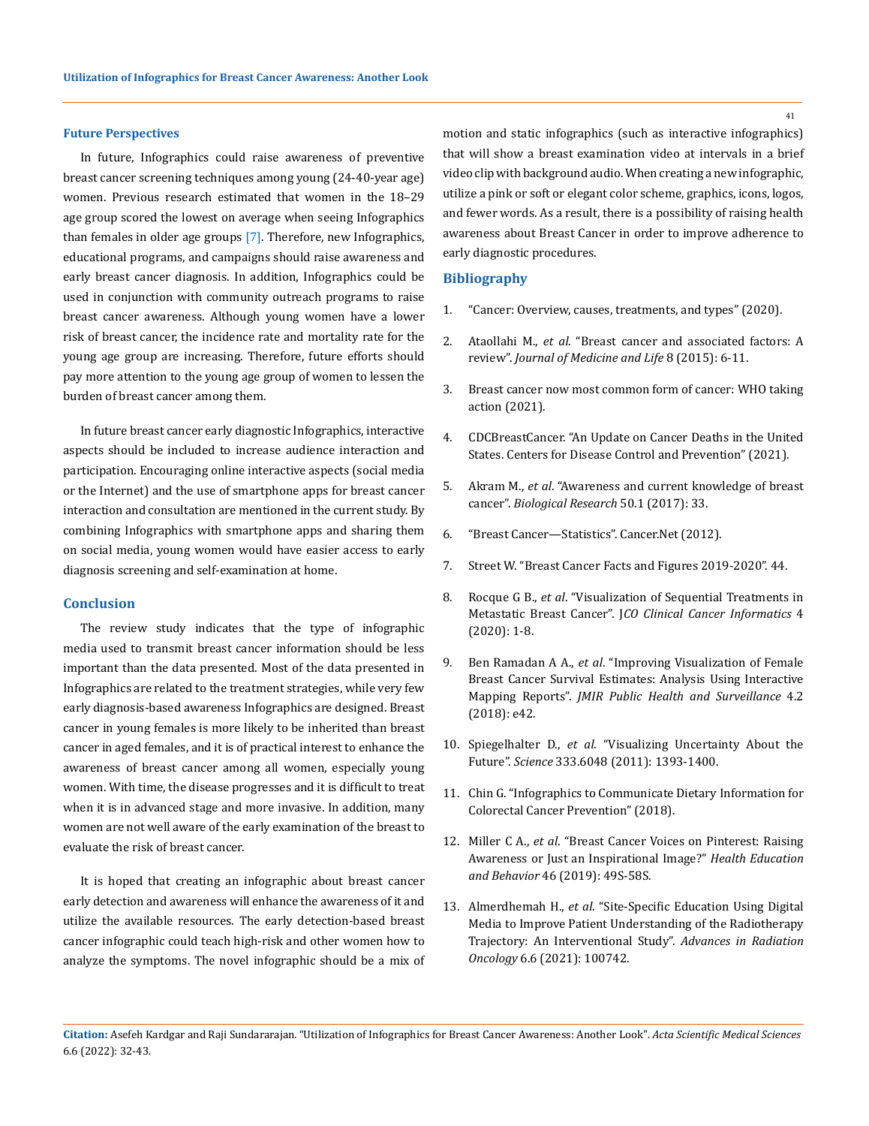### **Future Perspectives**

In future, Infographics could raise awareness of preventive breast cancer screening techniques among young (24-40-year age) women. Previous research estimated that women in the 18–29 age group scored the lowest on average when seeing Infographics than females in older age groups [7]. Therefore, new Infographics, educational programs, and campaigns should raise awareness and early breast cancer diagnosis. In addition, Infographics could be used in conjunction with community outreach programs to raise breast cancer awareness. Although young women have a lower risk of breast cancer, the incidence rate and mortality rate for the young age group are increasing. Therefore, future efforts should pay more attention to the young age group of women to lessen the burden of breast cancer among them.

In future breast cancer early diagnostic Infographics, interactive aspects should be included to increase audience interaction and participation. Encouraging online interactive aspects (social media or the Internet) and the use of smartphone apps for breast cancer interaction and consultation are mentioned in the current study. By combining Infographics with smartphone apps and sharing them on social media, young women would have easier access to early diagnosis screening and self-examination at home.

### **Conclusion**

The review study indicates that the type of infographic media used to transmit breast cancer information should be less important than the data presented. Most of the data presented in Infographics are related to the treatment strategies, while very few early diagnosis-based awareness Infographics are designed. Breast cancer in young females is more likely to be inherited than breast cancer in aged females, and it is of practical interest to enhance the awareness of breast cancer among all women, especially young women. With time, the disease progresses and it is difficult to treat when it is in advanced stage and more invasive. In addition, many women are not well aware of the early examination of the breast to evaluate the risk of breast cancer.

It is hoped that creating an infographic about breast cancer early detection and awareness will enhance the awareness of it and utilize the available resources. The early detection-based breast cancer infographic could teach high-risk and other women how to analyze the symptoms. The novel infographic should be a mix of motion and static infographics (such as interactive infographics) that will show a breast examination video at intervals in a brief video clip with background audio. When creating a new infographic, utilize a pink or soft or elegant color scheme, graphics, icons, logos, and fewer words. As a result, there is a possibility of raising health awareness about Breast Cancer in order to improve adherence to early diagnostic procedures.

### **Bibliography**

- 1. ["Cancer: Overview, causes, treatments, and types" \(2020\).](https://www.medicalnewstoday.com/articles/323648)
- 2. Ataollahi M., *et al*[. "Breast cancer and associated factors: A](https://www.ncbi.nlm.nih.gov/pmc/articles/PMC5319297/)  review". *[Journal of Medicine and Life](https://www.ncbi.nlm.nih.gov/pmc/articles/PMC5319297/)* 8 (2015): 6-11.
- 3. [Breast cancer now most common form of cancer: WHO taking](https://www.who.int/news/item/03-02-2021-breast-cancer-now-most-common-form-of-cancer-who-taking-action)  [action \(2021\).](https://www.who.int/news/item/03-02-2021-breast-cancer-now-most-common-form-of-cancer-who-taking-action)
- 4. [CDCBreastCancer. "An Update on Cancer Deaths in the United](https://www.cdc.gov/cancer/dcpc/research/update-on-cancer-deaths/index.htm)  [States. Centers for Disease Control and Prevention" \(2021\).](https://www.cdc.gov/cancer/dcpc/research/update-on-cancer-deaths/index.htm)
- 5. Akram M., *et al*[. "Awareness and current knowledge of breast](https://doi.org/10.1186/s40659-017-0140-9)  cancer". *[Biological Research](https://doi.org/10.1186/s40659-017-0140-9)* 50.1 (2017): 33.
- 6. ["Breast Cancer—Statistics". Cancer.Net \(2012\).](https://www.cancer.net/cancer-types/breast-cancer/statistics)
- 7. Street W. "Breast Cancer Facts and Figures 2019-2020". 44.
- 8. Rocque G B., *et al*[. "Visualization of Sequential Treatments in](https://doi.org/10.1200/CCI.18.00095)  Metastatic Breast Cancer". J*[CO Clinical Cancer Informatics](https://doi.org/10.1200/CCI.18.00095)* 4 [\(2020\): 1-8.](https://doi.org/10.1200/CCI.18.00095)
- 9. Ben Ramadan A A., *et al*[. "Improving Visualization of Female](https://doi.org/10.2196/publichealth.8163)  [Breast Cancer Survival Estimates: Analysis Using Interactive](https://doi.org/10.2196/publichealth.8163)  Mapping Reports". *[JMIR Public Health and Surveillance](https://doi.org/10.2196/publichealth.8163)* 4.2 [\(2018\): e42.](https://doi.org/10.2196/publichealth.8163)
- 10. Spiegelhalter D., *et al*[. "Visualizing Uncertainty About the](https://doi.org/10.1126/science.1191181)  Future". *Science* [333.6048 \(2011\): 1393-1400.](https://doi.org/10.1126/science.1191181)
- 11. [Chin G. "Infographics to Communicate Dietary Information for](https://www.semanticscholar.org/paper/Infographics-to-Communicate-Dietary-Information-for-Chin/dfd4d14f0e6fb120d45993d188235e0996e8d925)  [Colorectal Cancer Prevention" \(2018\).](https://www.semanticscholar.org/paper/Infographics-to-Communicate-Dietary-Information-for-Chin/dfd4d14f0e6fb120d45993d188235e0996e8d925)
- 12. Miller C A., *et al*[. "Breast Cancer Voices on Pinterest: Raising](https://doi.org/10.1177/1090198119863774)  [Awareness or Just an Inspirational Image?"](https://doi.org/10.1177/1090198119863774) *Health Education and Behavior* [46 \(2019\): 49S-58S.](https://doi.org/10.1177/1090198119863774)
- 13. Almerdhemah H., *et al*[. "Site-Specific Education Using Digital](https://doi.org/10.1016/j.adro.2021.100742)  [Media to Improve Patient Understanding of the Radiotherapy](https://doi.org/10.1016/j.adro.2021.100742)  [Trajectory: An Interventional Study".](https://doi.org/10.1016/j.adro.2021.100742) *Advances in Radiation Oncology* [6.6 \(2021\): 100742.](https://doi.org/10.1016/j.adro.2021.100742)

**Citation:** Asefeh Kardgar and Raji Sundararajan*.* "Utilization of Infographics for Breast Cancer Awareness: Another Look". *Acta Scientific Medical Sciences*  6.6 (2022): 32-43.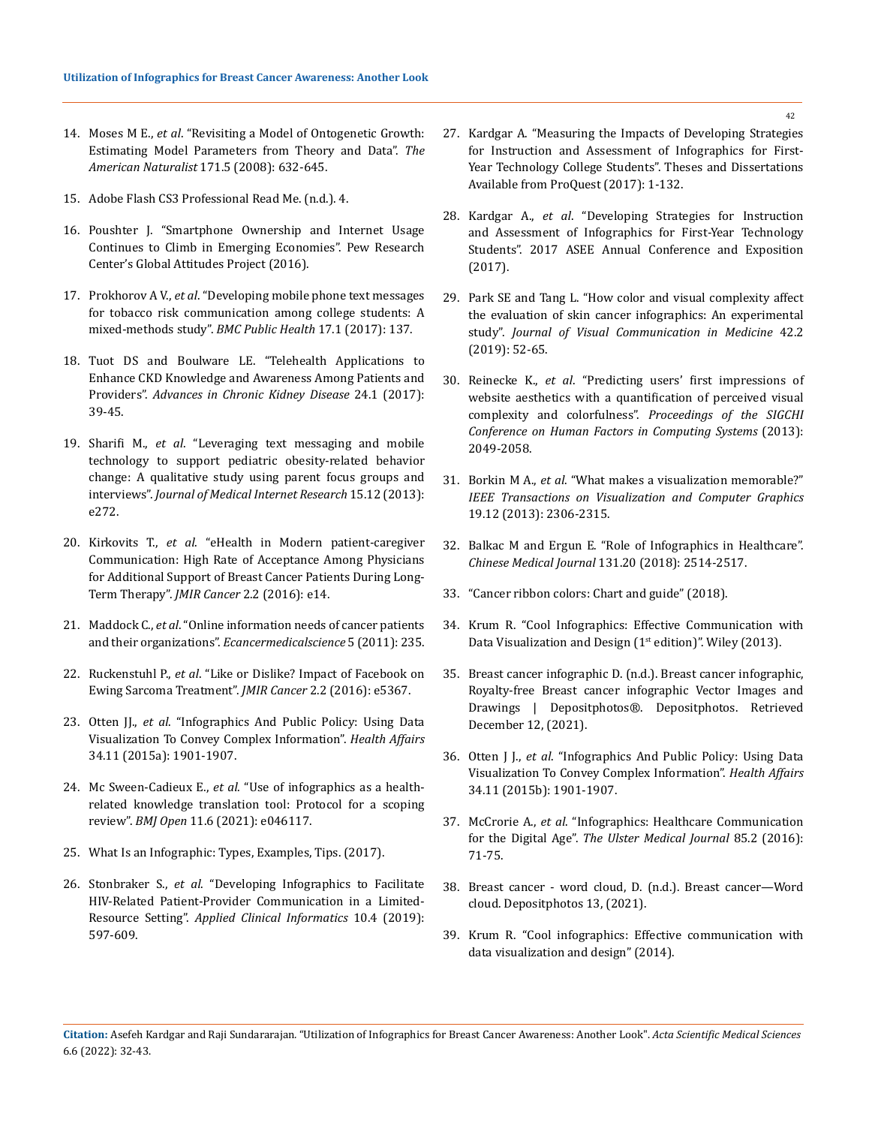- 14. Moses M E., *et al*[. "Revisiting a Model of Ontogenetic Growth:](https://doi.org/10.1086/587073)  [Estimating Model Parameters from Theory and Data".](https://doi.org/10.1086/587073) *The [American Naturalist](https://doi.org/10.1086/587073)* 171.5 (2008): 632-645.
- 15. Adobe Flash CS3 Professional Read Me. (n.d.). 4.
- 16. [Poushter J. "Smartphone Ownership and Internet Usage](https://www.pewresearch.org/global/2016/02/22/smartphone-ownership-and-internet-usage-continues-to-climb-in-emerging-economies/)  [Continues to Climb in Emerging Economies". Pew Research](https://www.pewresearch.org/global/2016/02/22/smartphone-ownership-and-internet-usage-continues-to-climb-in-emerging-economies/)  [Center's Global Attitudes Project \(2016\).](https://www.pewresearch.org/global/2016/02/22/smartphone-ownership-and-internet-usage-continues-to-climb-in-emerging-economies/)
- 17. Prokhorov A V., *et al*[. "Developing mobile phone text messages](https://doi.org/10.1186/s12889-017-4027-z)  [for tobacco risk communication among college students: A](https://doi.org/10.1186/s12889-017-4027-z)  [mixed-methods study".](https://doi.org/10.1186/s12889-017-4027-z) *BMC Public Health* 17.1 (2017): 137.
- 18. [Tuot DS and Boulware LE. "Telehealth Applications to](https://doi.org/10.1053/j.ackd.2016.11.017)  [Enhance CKD Knowledge and Awareness Among Patients and](https://doi.org/10.1053/j.ackd.2016.11.017)  Providers". *[Advances in Chronic Kidney Disease](https://doi.org/10.1053/j.ackd.2016.11.017)* 24.1 (2017): [39-45.](https://doi.org/10.1053/j.ackd.2016.11.017)
- 19. Sharifi M., *et al*[. "Leveraging text messaging and mobile](https://doi.org/10.2196/jmir.2780)  [technology to support pediatric obesity-related behavior](https://doi.org/10.2196/jmir.2780)  [change: A qualitative study using parent focus groups and](https://doi.org/10.2196/jmir.2780)  interviews". *[Journal of Medical Internet Research](https://doi.org/10.2196/jmir.2780)* 15.12 (2013): [e272.](https://doi.org/10.2196/jmir.2780)
- 20. Kirkovits T., *et al*[. "eHealth in Modern patient-caregiver](https://doi.org/10.2196/cancer.5132)  [Communication: High Rate of Acceptance Among Physicians](https://doi.org/10.2196/cancer.5132)  [for Additional Support of Breast Cancer Patients During Long-](https://doi.org/10.2196/cancer.5132)Term Therapy". *JMIR Cancer* [2.2 \(2016\): e14.](https://doi.org/10.2196/cancer.5132)
- 21. Maddock C., *et al*[. "Online information needs of cancer patients](https://doi.org/10.3332/ecancer.2011.235)  and their organizations". *[Ecancermedicalscience](https://doi.org/10.3332/ecancer.2011.235)* 5 (2011): 235.
- 22. Ruckenstuhl P., *et al*[. "Like or Dislike? Impact of Facebook on](https://doi.org/10.2196/cancer.5367)  [Ewing Sarcoma Treatment".](https://doi.org/10.2196/cancer.5367) *JMIR Cancer* 2.2 (2016): e5367.
- 23. Otten JJ., *et al*[. "Infographics And Public Policy: Using Data](https://doi.org/10.1377/hlthaff.2015.0642)  [Visualization To Convey Complex Information".](https://doi.org/10.1377/hlthaff.2015.0642) *Health Affairs* [34.11 \(2015a\): 1901-1907.](https://doi.org/10.1377/hlthaff.2015.0642)
- 24. Mc Sween-Cadieux E., *et al*[. "Use of infographics as a health](https://doi.org/10.1136/bmjopen-2020-046117)[related knowledge translation tool: Protocol for a scoping](https://doi.org/10.1136/bmjopen-2020-046117)  review". *BMJ Open* [11.6 \(2021\): e046117.](https://doi.org/10.1136/bmjopen-2020-046117)
- 25. [What Is an Infographic: Types, Examples, Tips. \(2017\).](https://blog.icons8.com/articles/what-is-an-infographic/)
- 26. Stonbraker S., *et al*[. "Developing Infographics to Facilitate](https://doi.org/10.1055/s-0039-1694001)  [HIV-Related Patient-Provider Communication in a Limited-](https://doi.org/10.1055/s-0039-1694001)Resource Setting". *[Applied Clinical Informatics](https://doi.org/10.1055/s-0039-1694001)* 10.4 (2019): [597-609.](https://doi.org/10.1055/s-0039-1694001)
- 27. [Kardgar A. "Measuring the Impacts of Developing Strategies](https://docs.lib.purdue.edu/dissertations/AAI10608503)  [for Instruction and Assessment of Infographics for First-](https://docs.lib.purdue.edu/dissertations/AAI10608503)[Year Technology College Students". Theses and Dissertations](https://docs.lib.purdue.edu/dissertations/AAI10608503)  [Available from ProQuest \(2017\): 1-132.](https://docs.lib.purdue.edu/dissertations/AAI10608503)
- 28. Kardgar A., *et al*[. "Developing Strategies for Instruction](https://peer.asee.org/developing-strategies-for-instruction-and-assessment-of-infographics-for-first-year-technology-students)  [and Assessment of Infographics for First-Year Technology](https://peer.asee.org/developing-strategies-for-instruction-and-assessment-of-infographics-for-first-year-technology-students)  [Students". 2017 ASEE Annual Conference and Exposition](https://peer.asee.org/developing-strategies-for-instruction-and-assessment-of-infographics-for-first-year-technology-students)  [\(2017\).](https://peer.asee.org/developing-strategies-for-instruction-and-assessment-of-infographics-for-first-year-technology-students)
- 29. [Park SE and Tang L. "How color and visual complexity affect](https://doi.org/10.1080/17453054.2019.1573633)  [the evaluation of skin cancer infographics: An experimental](https://doi.org/10.1080/17453054.2019.1573633)  study". *[Journal of Visual Communication in Medicine](https://doi.org/10.1080/17453054.2019.1573633)* 42.2 [\(2019\): 52-65.](https://doi.org/10.1080/17453054.2019.1573633)
- 30. Reinecke K., *et al*[. "Predicting users' first impressions of](https://doi.org/10.1145/2470654.2481281)  [website aesthetics with a quantification of perceived visual](https://doi.org/10.1145/2470654.2481281)  complexity and colorfulness". *[Proceedings of the SIGCHI](https://doi.org/10.1145/2470654.2481281)  [Conference on Human Factors in Computing Systems](https://doi.org/10.1145/2470654.2481281)* (2013): [2049-2058.](https://doi.org/10.1145/2470654.2481281)
- 31. Borkin M A., *et al*[. "What makes a visualization memorable?"](https://doi.org/10.1109/TVCG.2013.234)  *[IEEE Transactions on Visualization and Computer Graphics](https://doi.org/10.1109/TVCG.2013.234)* [19.12 \(2013\): 2306-2315.](https://doi.org/10.1109/TVCG.2013.234)
- 32. [Balkac M and Ergun E. "Role of Infographics in Healthcare".](https://doi.org/10.4103/0366-6999.243569)  *[Chinese Medical Journal](https://doi.org/10.4103/0366-6999.243569)* 131.20 (2018): 2514-2517.
- 33. ["Cancer ribbon colors: Chart and guide" \(2018\).](https://www.medicalnewstoday.com/articles/323448)
- 34. Krum R. "Cool Infographics: Effective Communication with Data Visualization and Design (1<sup>st</sup> edition)". Wiley (2013).
- 35. [Breast cancer infographic D. \(n.d.\). Breast cancer infographic,](https://depositphotos.com/vector-images/breast-cancer-infographic.html)  [Royalty-free Breast cancer infographic Vector Images and](https://depositphotos.com/vector-images/breast-cancer-infographic.html)  [Drawings | Depositphotos®. Depositphotos. Retrieved](https://depositphotos.com/vector-images/breast-cancer-infographic.html)  [December 12, \(2021\).](https://depositphotos.com/vector-images/breast-cancer-infographic.html)
- 36. Otten J J., *et al*[. "Infographics And Public Policy: Using Data](https://doi.org/10.1377/hlthaff.2015.0642)  [Visualization To Convey Complex Information".](https://doi.org/10.1377/hlthaff.2015.0642) *Health Affairs* [34.11 \(2015b\): 1901-1907.](https://doi.org/10.1377/hlthaff.2015.0642)
- 37. McCrorie A., *et al*[. "Infographics: Healthcare Communication](https://www.ncbi.nlm.nih.gov/pmc/articles/PMC4920488/)  for the Digital Age". *[The Ulster Medical Journal](https://www.ncbi.nlm.nih.gov/pmc/articles/PMC4920488/)* 85.2 (2016): [71-75.](https://www.ncbi.nlm.nih.gov/pmc/articles/PMC4920488/)
- 38. [Breast cancer word cloud, D. \(n.d.\). Breast cancer—Word](file:///E:/ANUSHA/Acta/JUNE/ASMS/ASMS-22-RW-051/from%20https:/depositphotos.com/114842490/stock-photo-breast-cancer-word-cloud.html)  [cloud. Depositphotos 13, \(2021\).](file:///E:/ANUSHA/Acta/JUNE/ASMS/ASMS-22-RW-051/from%20https:/depositphotos.com/114842490/stock-photo-breast-cancer-word-cloud.html)
- 39. [Krum R. "Cool infographics: Effective communication with](http://www.books24x7.com/marc.asp?bookid=58139)  [data visualization and design" \(2014\).](http://www.books24x7.com/marc.asp?bookid=58139)

**Citation:** Asefeh Kardgar and Raji Sundararajan*.* "Utilization of Infographics for Breast Cancer Awareness: Another Look". *Acta Scientific Medical Sciences*  6.6 (2022): 32-43.